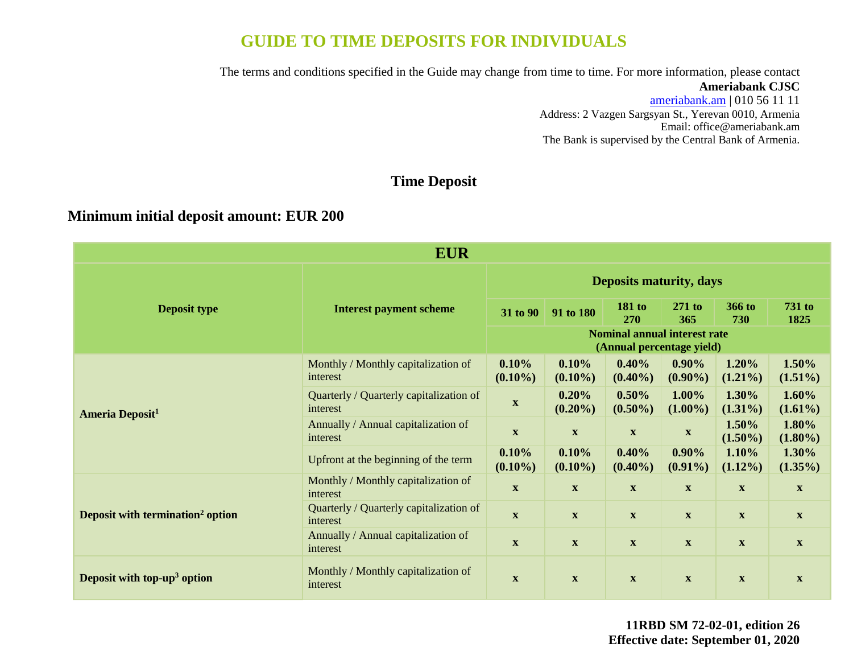# **GUIDE TO TIME DEPOSITS FOR INDIVIDUALS**

The terms and conditions specified in the Guide may change from time to time. For more information, please contact

#### **Ameriabank CJSC**

[ameriabank.am](https://ameriabank.am/default.aspx?lang=28) | 010 56 11 11 Address: 2 Vazgen Sargsyan St., Yerevan 0010, Armenia Email: [office@ameriabank.am](file:///C:/Users/marine%20ohanjanyan/Desktop/New%20deposit%20leaflets/office@ameriabank.am) The Bank is supervised by the Central Bank of Armenia.

## **Time Deposit**

### **Minimum initial deposit amount: EUR 200**

| <b>EUR</b>                                   |                                                     |                                                                  |                           |                             |                           |                           |                           |
|----------------------------------------------|-----------------------------------------------------|------------------------------------------------------------------|---------------------------|-----------------------------|---------------------------|---------------------------|---------------------------|
|                                              | <b>Interest payment scheme</b>                      | <b>Deposits maturity, days</b>                                   |                           |                             |                           |                           |                           |
| <b>Deposit type</b>                          |                                                     | 31 to 90                                                         | 91 to 180                 | <b>181 to</b><br><b>270</b> | $271$ to<br>365           | 366 to<br>730             | <b>731 to</b><br>1825     |
|                                              |                                                     | <b>Nominal annual interest rate</b><br>(Annual percentage yield) |                           |                             |                           |                           |                           |
|                                              | Monthly / Monthly capitalization of<br>interest     | 0.10%<br>$(0.10\%)$                                              | 0.10%<br>$(0.10\%)$       | 0.40%<br>$(0.40\%)$         | $0.90\%$<br>$(0.90\%)$    | 1.20%<br>$(1.21\%)$       | 1.50%<br>$(1.51\%)$       |
| <b>Ameria Deposit<sup>1</sup></b>            | Quarterly / Quarterly capitalization of<br>interest | $\mathbf{X}$                                                     | 0.20%<br>$(0.20\%)$       | $0.50\%$<br>$(0.50\%)$      | 1.00%<br>$(1.00\%)$       | 1.30%<br>$(1.31\%)$       | 1.60%<br>$(1.61\%)$       |
|                                              | Annually / Annual capitalization of<br>interest     | $\mathbf{X}$                                                     | $\mathbf X$               | $\boldsymbol{\mathrm{X}}$   | $\boldsymbol{\mathrm{X}}$ | 1.50%<br>$(1.50\%)$       | 1.80%<br>$(1.80\%)$       |
|                                              | Upfront at the beginning of the term                | 0.10%<br>$(0.10\%)$                                              | 0.10%<br>$(0.10\%)$       | 0.40%<br>$(0.40\%)$         | $0.90\%$<br>$(0.91\%)$    | 1.10%<br>$(1.12\%)$       | 1.30%<br>$(1.35\%)$       |
|                                              | Monthly / Monthly capitalization of<br>interest     | $\mathbf{X}$                                                     | $\boldsymbol{\mathrm{X}}$ | $\mathbf X$                 | $\boldsymbol{\mathrm{X}}$ | $\boldsymbol{\mathrm{X}}$ | $\boldsymbol{\mathrm{X}}$ |
| Deposit with termination <sup>2</sup> option | Quarterly / Quarterly capitalization of<br>interest | $\mathbf{X}$                                                     | $\boldsymbol{\mathrm{X}}$ | $\mathbf X$                 | $\mathbf{X}$              | $\boldsymbol{\mathrm{X}}$ | $\mathbf{X}$              |
|                                              | Annually / Annual capitalization of<br>interest     | $\mathbf{X}$                                                     | $\mathbf X$               | $\mathbf X$                 | $\mathbf X$               | $\mathbf{X}$              | $\mathbf X$               |
| Deposit with top-up <sup>3</sup> option      | Monthly / Monthly capitalization of<br>interest     | $\mathbf{X}$                                                     | $\mathbf{X}$              | $\mathbf X$                 | $\mathbf{X}$              | $\mathbf{x}$              | $\mathbf X$               |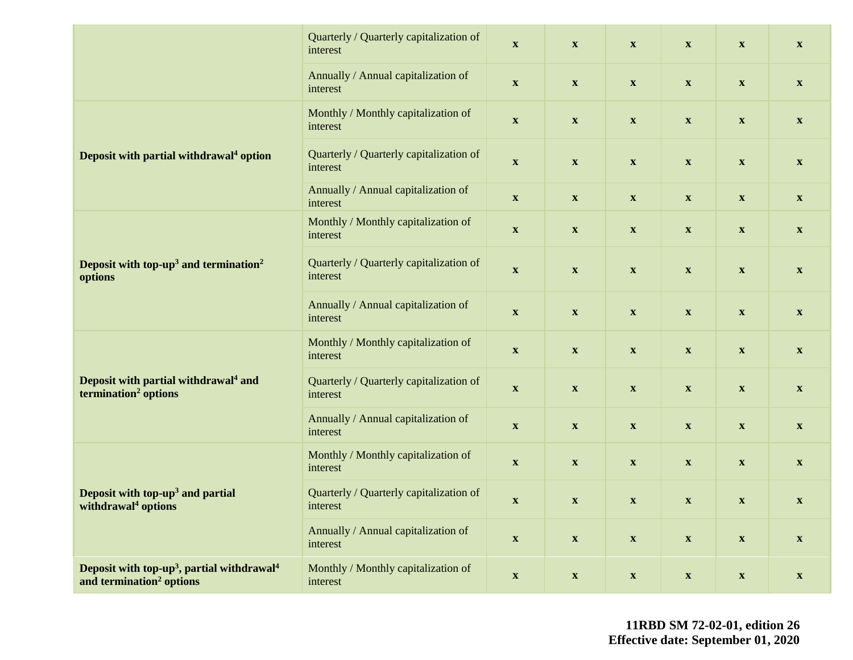|                                                                                                            | Quarterly / Quarterly capitalization of<br>interest | $\boldsymbol{\mathrm{X}}$ | $\boldsymbol{\mathrm{X}}$ | $\boldsymbol{\mathrm{X}}$ | $\boldsymbol{\mathrm{X}}$ | $\boldsymbol{\mathrm{X}}$ | $\boldsymbol{\mathrm{X}}$ |
|------------------------------------------------------------------------------------------------------------|-----------------------------------------------------|---------------------------|---------------------------|---------------------------|---------------------------|---------------------------|---------------------------|
|                                                                                                            | Annually / Annual capitalization of<br>interest     | $\boldsymbol{\mathrm{X}}$ | $\boldsymbol{\mathrm{X}}$ | $\boldsymbol{\mathrm{X}}$ | $\boldsymbol{\mathrm{X}}$ | $\boldsymbol{\mathrm{X}}$ | $\mathbf{X}$              |
|                                                                                                            | Monthly / Monthly capitalization of<br>interest     | $\mathbf X$               | $\boldsymbol{\mathrm{X}}$ | $\boldsymbol{\mathrm{X}}$ | $\boldsymbol{\mathrm{X}}$ | $\boldsymbol{\mathrm{X}}$ | $\boldsymbol{\mathrm{X}}$ |
| Deposit with partial withdrawal <sup>4</sup> option                                                        | Quarterly / Quarterly capitalization of<br>interest | $\boldsymbol{\mathrm{X}}$ | $\boldsymbol{\mathrm{X}}$ | $\boldsymbol{\mathrm{X}}$ | $\boldsymbol{\mathrm{X}}$ | $\boldsymbol{\mathrm{X}}$ | $\mathbf{X}$              |
|                                                                                                            | Annually / Annual capitalization of<br>interest     | $\boldsymbol{\mathrm{X}}$ | $\boldsymbol{\mathrm{X}}$ | $\boldsymbol{\mathrm{X}}$ | $\mathbf{X}$              | $\boldsymbol{\mathrm{X}}$ | $\mathbf{X}$              |
|                                                                                                            | Monthly / Monthly capitalization of<br>interest     | $\mathbf X$               | $\boldsymbol{\mathrm{X}}$ | $\boldsymbol{\mathrm{X}}$ | $\boldsymbol{\mathrm{X}}$ | $\boldsymbol{\mathrm{X}}$ | $\boldsymbol{\mathrm{X}}$ |
| Deposit with top-up <sup>3</sup> and termination <sup>2</sup><br>options                                   | Quarterly / Quarterly capitalization of<br>interest | $\boldsymbol{\mathrm{X}}$ | $\boldsymbol{\mathrm{X}}$ | $\boldsymbol{\mathrm{X}}$ | $\boldsymbol{\mathrm{X}}$ | $\boldsymbol{\mathrm{X}}$ | $\boldsymbol{\mathrm{X}}$ |
|                                                                                                            | Annually / Annual capitalization of<br>interest     | $\mathbf X$               | $\boldsymbol{\mathrm{X}}$ | $\boldsymbol{\mathrm{X}}$ | $\boldsymbol{\mathrm{X}}$ | $\boldsymbol{\mathrm{X}}$ | $\boldsymbol{\mathrm{X}}$ |
|                                                                                                            | Monthly / Monthly capitalization of<br>interest     | $\boldsymbol{\mathrm{X}}$ | $\boldsymbol{\mathrm{X}}$ | $\boldsymbol{\mathrm{X}}$ | $\boldsymbol{\mathrm{X}}$ | $\boldsymbol{\mathrm{X}}$ | $\mathbf{X}$              |
| Deposit with partial withdrawal <sup>4</sup> and<br>termination <sup>2</sup> options                       | Quarterly / Quarterly capitalization of<br>interest | $\boldsymbol{\mathrm{X}}$ | $\boldsymbol{\mathrm{X}}$ | $\boldsymbol{\mathrm{X}}$ | $\mathbf{X}$              | $\boldsymbol{\mathrm{X}}$ | $\mathbf{X}$              |
|                                                                                                            | Annually / Annual capitalization of<br>interest     | $\boldsymbol{\mathrm{X}}$ | $\boldsymbol{\mathrm{X}}$ | $\boldsymbol{\mathrm{X}}$ | $\boldsymbol{\mathrm{X}}$ | $\boldsymbol{\mathrm{X}}$ | $\boldsymbol{\mathrm{X}}$ |
|                                                                                                            | Monthly / Monthly capitalization of<br>interest     | $\boldsymbol{\mathrm{X}}$ | $\boldsymbol{\mathrm{X}}$ | $\boldsymbol{\mathrm{X}}$ | $\boldsymbol{\mathrm{X}}$ | $\boldsymbol{\mathrm{X}}$ | $\boldsymbol{\mathrm{X}}$ |
| Deposit with top-up <sup>3</sup> and partial<br>withdrawal <sup>4</sup> options                            | Quarterly / Quarterly capitalization of<br>interest | $\boldsymbol{\mathrm{X}}$ | $\boldsymbol{\mathrm{X}}$ | $\boldsymbol{\mathrm{X}}$ | $\boldsymbol{\mathrm{X}}$ | $\boldsymbol{\mathrm{X}}$ | $\mathbf{X}$              |
|                                                                                                            | Annually / Annual capitalization of<br>interest     | $\boldsymbol{\mathrm{X}}$ | $\boldsymbol{\mathrm{X}}$ | $\boldsymbol{\mathrm{X}}$ | $\boldsymbol{\mathrm{X}}$ | $\boldsymbol{\mathrm{X}}$ | $\boldsymbol{\mathrm{X}}$ |
| Deposit with top-up <sup>3</sup> , partial withdrawal <sup>4</sup><br>and termination <sup>2</sup> options | Monthly / Monthly capitalization of<br>interest     | $\boldsymbol{\mathrm{X}}$ | $\mathbf{X}$              | $\boldsymbol{\mathrm{X}}$ | $\boldsymbol{\mathrm{X}}$ | $\boldsymbol{\mathrm{X}}$ | $\boldsymbol{\mathrm{X}}$ |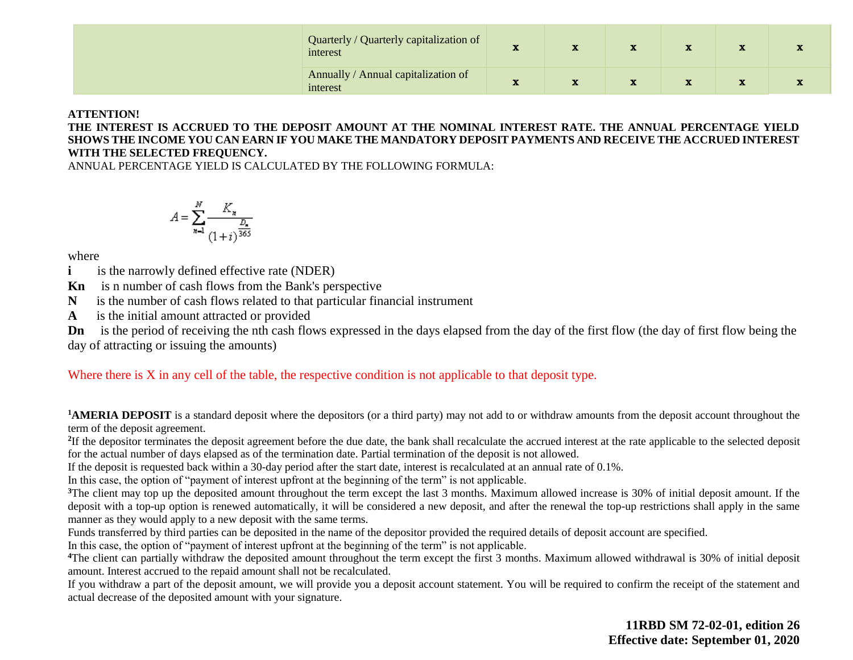| Quarterly / Quarterly capitalization of<br>interest | - 33 |  |  |  |
|-----------------------------------------------------|------|--|--|--|
| Annually / Annual capitalization of<br>interest     |      |  |  |  |

#### **ATTENTION!**

**THE INTEREST IS ACCRUED TO THE DEPOSIT AMOUNT AT THE NOMINAL INTEREST RATE. THE ANNUAL PERCENTAGE YIELD SHOWS THE INCOME YOU CAN EARN IF YOU MAKE THE MANDATORY DEPOSIT PAYMENTS AND RECEIVE THE ACCRUED INTEREST WITH THE SELECTED FREQUENCY.** 

ANNUAL PERCENTAGE YIELD IS CALCULATED BY THE FOLLOWING FORMULA:

$$
A = \sum_{n=1}^{N} \frac{K_n}{(1+i)^{\frac{D_n}{365}}}
$$

where

**i** is the narrowly defined effective rate (NDER)

**Kn** is n number of cash flows from the Bank's perspective

**N** is the number of cash flows related to that particular financial instrument

**A** is the initial amount attracted or provided

**Dn** is the period of receiving the nth cash flows expressed in the days elapsed from the day of the first flow (the day of first flow being the day of attracting or issuing the amounts)

Where there is X in any cell of the table, the respective condition is not applicable to that deposit type.

<sup>1</sup>**AMERIA DEPOSIT** is a standard deposit where the depositors (or a third party) may not add to or withdraw amounts from the deposit account throughout the term of the deposit agreement.

<sup>2</sup>If the depositor terminates the deposit agreement before the due date, the bank shall recalculate the accrued interest at the rate applicable to the selected deposit for the actual number of days elapsed as of the termination date. Partial termination of the deposit is not allowed.

If the deposit is requested back within a 30-day period after the start date, interest is recalculated at an annual rate of 0.1%.

In this case, the option of "payment of interest upfront at the beginning of the term" is not applicable.

<sup>3</sup>The client may top up the deposited amount throughout the term except the last 3 months. Maximum allowed increase is 30% of initial deposit amount. If the deposit with a top-up option is renewed automatically, it will be considered a new deposit, and after the renewal the top-up restrictions shall apply in the same manner as they would apply to a new deposit with the same terms.

Funds transferred by third parties can be deposited in the name of the depositor provided the required details of deposit account are specified.

In this case, the option of "payment of interest upfront at the beginning of the term" is not applicable.

<sup>4</sup>The client can partially withdraw the deposited amount throughout the term except the first 3 months. Maximum allowed withdrawal is 30% of initial deposit amount. Interest accrued to the repaid amount shall not be recalculated.

If you withdraw a part of the deposit amount, we will provide you a deposit account statement. You will be required to confirm the receipt of the statement and actual decrease of the deposited amount with your signature.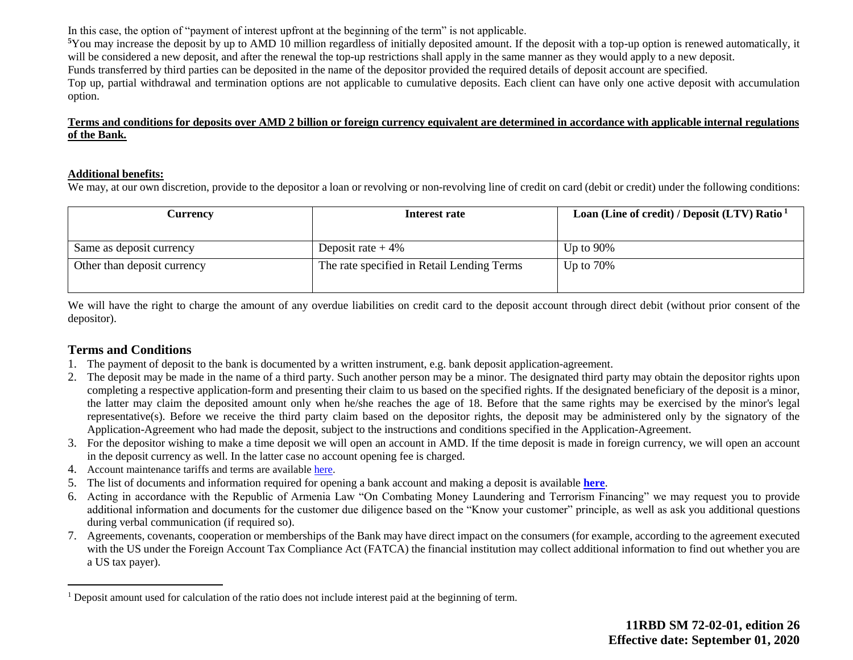In this case, the option of "payment of interest upfront at the beginning of the term" is not applicable.

**<sup>5</sup>**You may increase the deposit by up to AMD 10 million regardless of initially deposited amount. If the deposit with a top-up option is renewed automatically, it will be considered a new deposit, and after the renewal the top-up restrictions shall apply in the same manner as they would apply to a new deposit. Funds transferred by third parties can be deposited in the name of the depositor provided the required details of deposit account are specified. Top up, partial withdrawal and termination options are not applicable to cumulative deposits. Each client can have only one active deposit with accumulation option.

#### **Terms and conditions for deposits over AMD 2 billion or foreign currency equivalent are determined in accordance with applicable internal regulations of the Bank.**

#### **Additional benefits:**

We may, at our own discretion, provide to the depositor a loan or revolving or non-revolving line of credit on card (debit or credit) under the following conditions:

| Currencv                    | Interest rate                              | Loan (Line of credit) / Deposit (LTV) Ratio $1$ |
|-----------------------------|--------------------------------------------|-------------------------------------------------|
|                             |                                            |                                                 |
| Same as deposit currency    | Deposit rate $+4\%$                        | Up to $90\%$                                    |
| Other than deposit currency | The rate specified in Retail Lending Terms | Up to $70\%$                                    |
|                             |                                            |                                                 |

We will have the right to charge the amount of any overdue liabilities on credit card to the deposit account through direct debit (without prior consent of the depositor).

### **Terms and Conditions**

 $\overline{a}$ 

- 1. The payment of deposit to the bank is documented by a written instrument, e.g. bank deposit application-agreement.
- 2. The deposit may be made in the name of a third party. Such another person may be a minor. The designated third party may obtain the depositor rights upon completing a respective application-form and presenting their claim to us based on the specified rights. If the designated beneficiary of the deposit is a minor, the latter may claim the deposited amount only when he/she reaches the age of 18. Before that the same rights may be exercised by the minor's legal representative(s). Before we receive the third party claim based on the depositor rights, the deposit may be administered only by the signatory of the Application-Agreement who had made the deposit, subject to the instructions and conditions specified in the Application-Agreement.
- 3. For the depositor wishing to make a time deposit we will open an account in AMD. If the time deposit is made in foreign currency, we will open an account in the deposit currency as well. In the latter case no account opening fee is charged.
- 4. Account maintenance tariffs and terms are availabl[e here.](https://ameriabank.am/content.aspx?id=openning+and+service+of+bank+accounts+(retail)&page=99&itm=account&lang=28)
- 5. The list of documents and information required for opening a bank account and making a deposit is available **[here](https://ameriabank.am/userfiles/file/Account_openning_required_documents_2.pdf)**.
- 6. Acting in accordance with the Republic of Armenia Law "On Combating Money Laundering and Terrorism Financing" we may request you to provide additional information and documents for the customer due diligence based on the "Know your customer" principle, as well as ask you additional questions during verbal communication (if required so).
- 7. Agreements, covenants, cooperation or memberships of the Bank may have direct impact on the consumers (for example, according to the agreement executed with the US under the Foreign Account Tax Compliance Act (FATCA) the financial institution may collect additional information to find out whether you are a US tax payer).

<sup>1</sup> Deposit amount used for calculation of the ratio does not include interest paid at the beginning of term.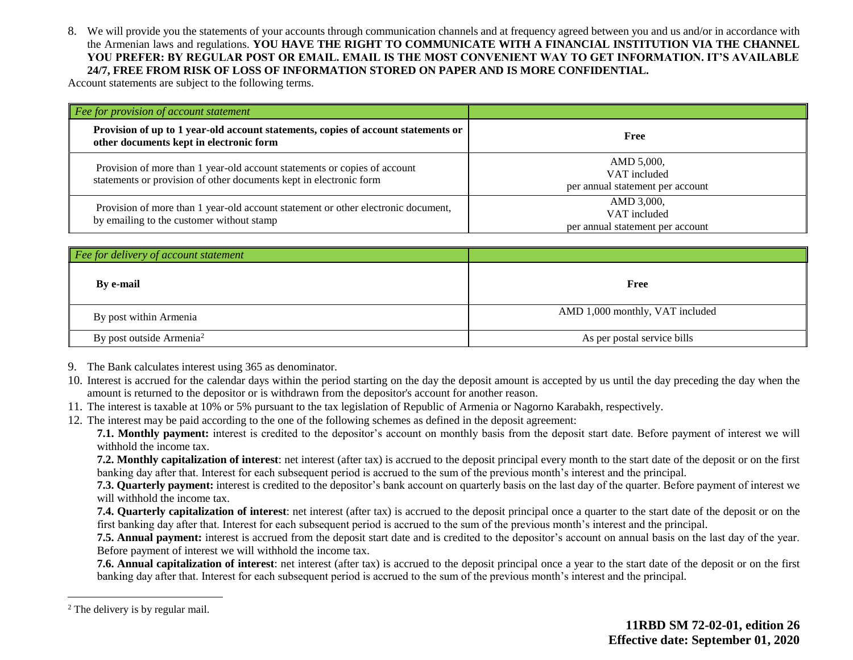8. We will provide you the statements of your accounts through communication channels and at frequency agreed between you and us and/or in accordance with the Armenian laws and regulations. **YOU HAVE THE RIGHT TO COMMUNICATE WITH A FINANCIAL INSTITUTION VIA THE CHANNEL YOU PREFER: BY REGULAR POST OR EMAIL. EMAIL IS THE MOST CONVENIENT WAY TO GET INFORMATION. IT'S AVAILABLE 24/7, FREE FROM RISK OF LOSS OF INFORMATION STORED ON PAPER AND IS MORE CONFIDENTIAL.**

Account statements are subject to the following terms.

| Fee for provision of account statement                                                                                                          |                                                                |
|-------------------------------------------------------------------------------------------------------------------------------------------------|----------------------------------------------------------------|
| Provision of up to 1 year-old account statements, copies of account statements or<br>other documents kept in electronic form                    | Free                                                           |
| Provision of more than 1 year-old account statements or copies of account<br>statements or provision of other documents kept in electronic form | AMD 5,000,<br>VAT included<br>per annual statement per account |
| Provision of more than 1 year-old account statement or other electronic document,<br>by emailing to the customer without stamp                  | AMD 3,000,<br>VAT included<br>per annual statement per account |

| Fee for delivery of account statement |                                 |
|---------------------------------------|---------------------------------|
| <b>By e-mail</b>                      | Free                            |
| By post within Armenia                | AMD 1,000 monthly, VAT included |
| By post outside Armenia <sup>2</sup>  | As per postal service bills     |

- 9. The Bank calculates interest using 365 as denominator.
- 10. Interest is accrued for the calendar days within the period starting on the day the deposit amount is accepted by us until the day preceding the day when the amount is returned to the depositor or is withdrawn from the depositor's account for another reason.
- 11. The interest is taxable at 10% or 5% pursuant to the tax legislation of Republic of Armenia or Nagorno Karabakh, respectively.
- 12. The interest may be paid according to the one of the following schemes as defined in the deposit agreement:

**7.1. Monthly payment:** interest is credited to the depositor's account on monthly basis from the deposit start date. Before payment of interest we will withhold the income tax.

**7.2. Monthly capitalization of interest**: net interest (after tax) is accrued to the deposit principal every month to the start date of the deposit or on the first banking day after that. Interest for each subsequent period is accrued to the sum of the previous month's interest and the principal.

**7.3. Quarterly payment:** interest is credited to the depositor's bank account on quarterly basis on the last day of the quarter. Before payment of interest we will withhold the income tax.

**7.4. Quarterly capitalization of interest**: net interest (after tax) is accrued to the deposit principal once a quarter to the start date of the deposit or on the first banking day after that. Interest for each subsequent period is accrued to the sum of the previous month's interest and the principal.

**7.5. Annual payment:** interest is accrued from the deposit start date and is credited to the depositor's account on annual basis on the last day of the year. Before payment of interest we will withhold the income tax.

**7.6. Annual capitalization of interest**: net interest (after tax) is accrued to the deposit principal once a year to the start date of the deposit or on the first banking day after that. Interest for each subsequent period is accrued to the sum of the previous month's interest and the principal.

 $\overline{a}$ 

<sup>&</sup>lt;sup>2</sup> The delivery is by regular mail.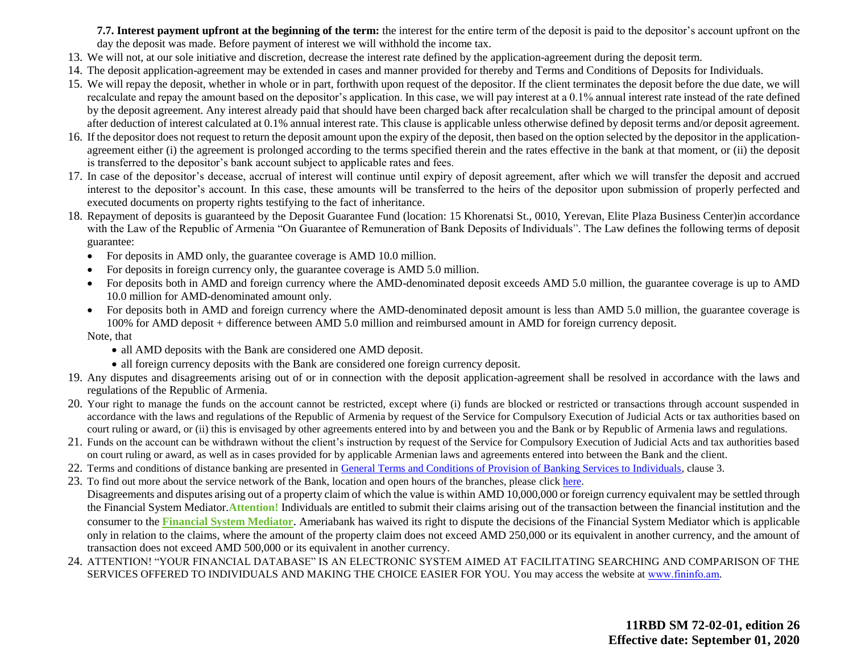**7.7. Interest payment upfront at the beginning of the term:** the interest for the entire term of the deposit is paid to the depositor's account upfront on the day the deposit was made. Before payment of interest we will withhold the income tax.

- 13. We will not, at our sole initiative and discretion, decrease the interest rate defined by the application-agreement during the deposit term.
- 14. The deposit application-agreement may be extended in cases and manner provided for thereby and Terms and Conditions of Deposits for Individuals.
- 15. We will repay the deposit, whether in whole or in part, forthwith upon request of the depositor. If the client terminates the deposit before the due date, we will recalculate and repay the amount based on the depositor's application. In this case, we will pay interest at a 0.1% annual interest rate instead of the rate defined by the deposit agreement. Any interest already paid that should have been charged back after recalculation shall be charged to the principal amount of deposit after deduction of interest calculated at 0.1% annual interest rate. This clause is applicable unless otherwise defined by deposit terms and/or deposit agreement.
- 16. If the depositor does not request to return the deposit amount upon the expiry of the deposit, then based on the option selected by the depositor in the applicationagreement either (i) the agreement is prolonged according to the terms specified therein and the rates effective in the bank at that moment, or (ii) the deposit is transferred to the depositor's bank account subject to applicable rates and fees.
- 17. In case of the depositor's decease, accrual of interest will continue until expiry of deposit agreement, after which we will transfer the deposit and accrued interest to the depositor's account. In this case, these amounts will be transferred to the heirs of the depositor upon submission of properly perfected and executed documents on property rights testifying to the fact of inheritance.
- 18. Repayment of deposits is guaranteed by the Deposit Guarantee Fund (location: 15 Khorenatsi St., 0010, Yerevan, Elite Plaza Business Center)in accordance with the Law of the Republic of Armenia "On Guarantee of Remuneration of Bank Deposits of Individuals". The Law defines the following terms of deposit guarantee:
	- For deposits in AMD only, the guarantee coverage is AMD 10.0 million.
	- For deposits in foreign currency only, the guarantee coverage is AMD 5.0 million.
	- For deposits both in AMD and foreign currency where the AMD-denominated deposit exceeds AMD 5.0 million, the guarantee coverage is up to AMD 10.0 million for AMD-denominated amount only.
	- For deposits both in AMD and foreign currency where the AMD-denominated deposit amount is less than AMD 5.0 million, the guarantee coverage is 100% for AMD deposit + difference between AMD 5.0 million and reimbursed amount in AMD for foreign currency deposit. Note, that
		- all AMD deposits with the Bank are considered one AMD deposit.
		- all foreign currency deposits with the Bank are considered one foreign currency deposit.
- 19. Any disputes and disagreements arising out of or in connection with the deposit application-agreement shall be resolved in accordance with the laws and regulations of the Republic of Armenia.
- 20. Your right to manage the funds on the account cannot be restricted, except where (i) funds are blocked or restricted or transactions through account suspended in accordance with the laws and regulations of the Republic of Armenia by request of the Service for Compulsory Execution of Judicial Acts or tax authorities based on court ruling or award, or (ii) this is envisaged by other agreements entered into by and between you and the Bank or by Republic of Armenia laws and regulations.
- 21. Funds on the account can be withdrawn without the client's instruction by request of the Service for Compulsory Execution of Judicial Acts and tax authorities based on court ruling or award, as well as in cases provided for by applicable Armenian laws and agreements entered into between the Bank and the client.
- 22. Terms and conditions of distance banking are presented in [General Terms and Conditions of Provision of Banking Services to Individuals,](https://ameriabank.am/content.aspx?id=openning+and+service+of+bank+accounts+(retail)&page=99&itm=account&lang=28) clause 3.
- 23. To find out more about the service network of the Bank, location and open hours of the branches, please clic[k here.](https://ameriabank.am/infrastructure.aspx?lang=28) Disagreements and disputes arising out of a property claim of which the value is within AMD 10,000,000 or foreign currency equivalent may be settled through the Financial System Mediator.**Attention!** Individuals are entitled to submit their claims arising out of the transaction between the financial institution and the consumer to the **[Financial System Mediator](https://ameriabank.am/Page.aspx?id=423&lang=33)**. Ameriabank has waived its right to dispute the decisions of the Financial System Mediator which is applicable only in relation to the claims, where the amount of the property claim does not exceed AMD 250,000 or its equivalent in another currency, and the amount of transaction does not exceed AMD 500,000 or its equivalent in another currency.
- 24. ATTENTION! "YOUR FINANCIAL DATABASE" IS AN ELECTRONIC SYSTEM AIMED AT FACILITATING SEARCHING AND COMPARISON OF THE SERVICES OFFERED TO INDIVIDUALS AND MAKING THE CHOICE EASIER FOR YOU. You may access the website at www.fininfo.am.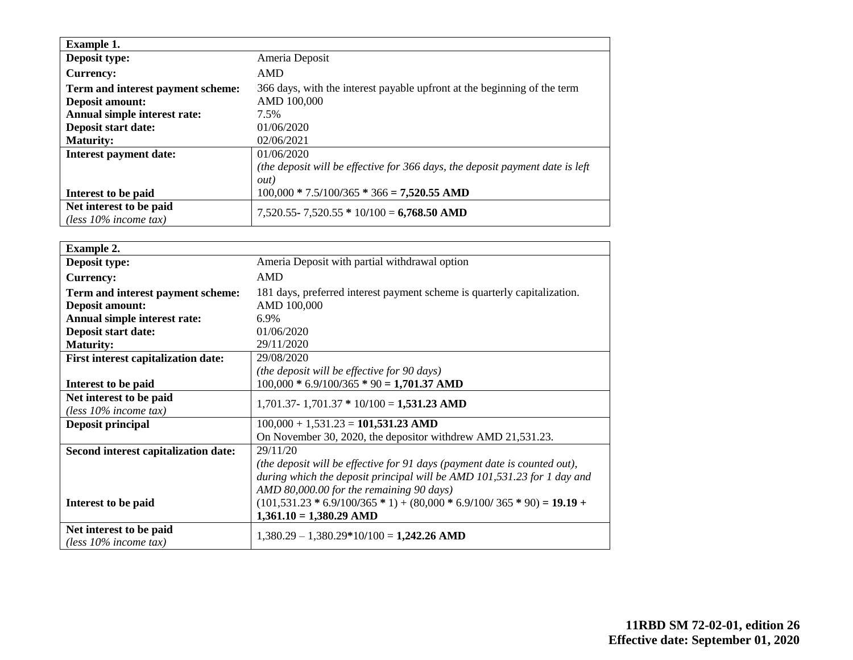| <b>Example 1.</b>                                   |                                                                               |
|-----------------------------------------------------|-------------------------------------------------------------------------------|
| Deposit type:                                       | Ameria Deposit                                                                |
| <b>Currency:</b>                                    | AMD                                                                           |
| Term and interest payment scheme:                   | 366 days, with the interest payable upfront at the beginning of the term      |
| <b>Deposit amount:</b>                              | AMD 100,000                                                                   |
| Annual simple interest rate:                        | 7.5%                                                                          |
| Deposit start date:                                 | 01/06/2020                                                                    |
| <b>Maturity:</b>                                    | 02/06/2021                                                                    |
| <b>Interest payment date:</b>                       | 01/06/2020                                                                    |
|                                                     | (the deposit will be effective for 366 days, the deposit payment date is left |
|                                                     | out)                                                                          |
| Interest to be paid                                 | $100,000 * 7.5/100/365 * 366 = 7,520.55$ AMD                                  |
| Net interest to be paid<br>(less $10\%$ income tax) | $7,520.55 - 7,520.55 * 10/100 = 6,768.50$ AMD                                 |

| <b>Example 2.</b>                          |                                                                           |
|--------------------------------------------|---------------------------------------------------------------------------|
| Deposit type:                              | Ameria Deposit with partial withdrawal option                             |
| <b>Currency:</b>                           | <b>AMD</b>                                                                |
| Term and interest payment scheme:          | 181 days, preferred interest payment scheme is quarterly capitalization.  |
| <b>Deposit amount:</b>                     | AMD 100,000                                                               |
| Annual simple interest rate:               | 6.9%                                                                      |
| Deposit start date:                        | 01/06/2020                                                                |
| <b>Maturity:</b>                           | 29/11/2020                                                                |
| <b>First interest capitalization date:</b> | 29/08/2020                                                                |
|                                            | (the deposit will be effective for 90 days)                               |
| Interest to be paid                        | $100,000 * 6.9/100/365 * 90 = 1,701.37$ AMD                               |
| Net interest to be paid                    | $1,701.37 - 1,701.37 * 10/100 = 1,531.23$ AMD                             |
| (less $10\%$ income tax)                   |                                                                           |
| Deposit principal                          | $100,000 + 1,531.23 = 101,531.23$ AMD                                     |
|                                            | On November 30, 2020, the depositor with drew AMD 21,531.23.              |
| Second interest capitalization date:       | 29/11/20                                                                  |
|                                            | (the deposit will be effective for 91 days (payment date is counted out), |
|                                            | during which the deposit principal will be AMD 101,531.23 for 1 day and   |
|                                            | AMD 80,000.00 for the remaining 90 days)                                  |
| Interest to be paid                        | $(101,531.23 * 6.9/100/365 * 1) + (80,000 * 6.9/100/365 * 90) = 19.19 +$  |
|                                            | $1,361.10 = 1,380.29$ AMD                                                 |
| Net interest to be paid                    | $1,380.29 - 1,380.29*10/100 = 1,242.26$ AMD                               |
| (less $10\%$ income tax)                   |                                                                           |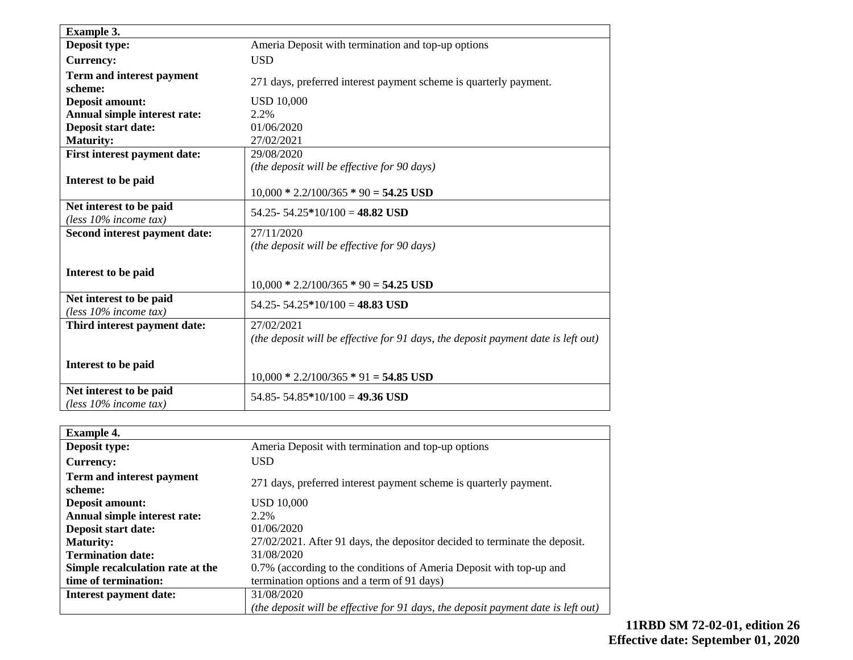| <b>Example 3.</b>                                   |                                                                                                 |
|-----------------------------------------------------|-------------------------------------------------------------------------------------------------|
| Deposit type:                                       | Ameria Deposit with termination and top-up options                                              |
| <b>Currency:</b>                                    | <b>USD</b>                                                                                      |
| Term and interest payment<br>scheme:                | 271 days, preferred interest payment scheme is quarterly payment.                               |
| <b>Deposit amount:</b>                              | <b>USD 10,000</b>                                                                               |
| Annual simple interest rate:                        | 2.2%                                                                                            |
| Deposit start date:                                 | 01/06/2020                                                                                      |
| <b>Maturity:</b>                                    | 27/02/2021                                                                                      |
| First interest payment date:                        | 29/08/2020                                                                                      |
|                                                     | (the deposit will be effective for 90 days)                                                     |
| Interest to be paid                                 |                                                                                                 |
|                                                     | $10,000 * 2.2/100/365 * 90 = 54.25$ USD                                                         |
| Net interest to be paid<br>(less 10% income tax)    | 54.25 - 54.25 * 10/100 = 48.82 USD                                                              |
| Second interest payment date:                       | 27/11/2020                                                                                      |
|                                                     | (the deposit will be effective for 90 days)                                                     |
| Interest to be paid                                 |                                                                                                 |
|                                                     | $10,000 * 2.2/100/365 * 90 = 54.25$ USD                                                         |
| Net interest to be paid<br>(less $10\%$ income tax) | 54.25 - 54.25 * 10/100 = 48.83 USD                                                              |
| Third interest payment date:                        | 27/02/2021<br>(the deposit will be effective for 91 days, the deposit payment date is left out) |
|                                                     |                                                                                                 |
| Interest to be paid                                 |                                                                                                 |
|                                                     | $10,000 * 2.2/100/365 * 91 = 54.85$ USD                                                         |
| Net interest to be paid<br>(less $10\%$ income tax) | 54.85 - 54.85 * 10/100 = 49.36 USD                                                              |

| <b>Example 4.</b>                |                                                                                   |
|----------------------------------|-----------------------------------------------------------------------------------|
| Deposit type:                    | Ameria Deposit with termination and top-up options                                |
| <b>Currency:</b>                 | USD.                                                                              |
| Term and interest payment        | 271 days, preferred interest payment scheme is quarterly payment.                 |
| scheme:                          |                                                                                   |
| <b>Deposit amount:</b>           | USD 10.000                                                                        |
| Annual simple interest rate:     | 2.2%                                                                              |
| Deposit start date:              | 01/06/2020                                                                        |
| <b>Maturity:</b>                 | 27/02/2021. After 91 days, the depositor decided to terminate the deposit.        |
| <b>Termination date:</b>         | 31/08/2020                                                                        |
| Simple recalculation rate at the | 0.7% (according to the conditions of Ameria Deposit with top-up and               |
| time of termination:             | termination options and a term of 91 days)                                        |
| Interest payment date:           | 31/08/2020                                                                        |
|                                  | (the deposit will be effective for 91 days, the deposit payment date is left out) |